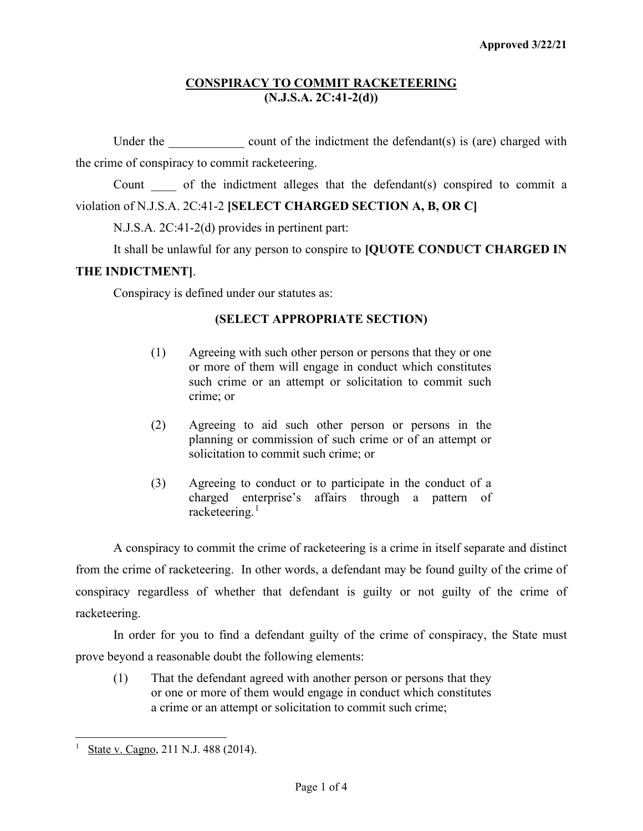# **CONSPIRACY TO COMMIT RACKETEERING (N.J.S.A. 2C:41-2(d))**

Under the  $\qquad \qquad \text{count of the indictment the defendant(s) is (are) charged with}$ the crime of conspiracy to commit racketeering.

Count of the indictment alleges that the defendant(s) conspired to commit a violation of N.J.S.A. 2C:41-2 **[SELECT CHARGED SECTION A, B, OR C]**

N.J.S.A. 2C:41-2(d) provides in pertinent part:

It shall be unlawful for any person to conspire to **[QUOTE CONDUCT CHARGED IN** 

## **THE INDICTMENT]**.

Conspiracy is defined under our statutes as:

# **(SELECT APPROPRIATE SECTION)**

- (1) Agreeing with such other person or persons that they or one or more of them will engage in conduct which constitutes such crime or an attempt or solicitation to commit such crime; or
- (2) Agreeing to aid such other person or persons in the planning or commission of such crime or of an attempt or solicitation to commit such crime; or
- (3) Agreeing to conduct or to participate in the conduct of a charged enterprise's affairs through a pattern of racketeering. $<sup>1</sup>$  $<sup>1</sup>$  $<sup>1</sup>$ </sup>

A conspiracy to commit the crime of racketeering is a crime in itself separate and distinct from the crime of racketeering. In other words, a defendant may be found guilty of the crime of conspiracy regardless of whether that defendant is guilty or not guilty of the crime of racketeering.

In order for you to find a defendant guilty of the crime of conspiracy, the State must prove beyond a reasonable doubt the following elements:

(1) That the defendant agreed with another person or persons that they or one or more of them would engage in conduct which constitutes a crime or an attempt or solicitation to commit such crime;

<span id="page-0-0"></span>State v. Cagno, 211 N.J. 488 (2014).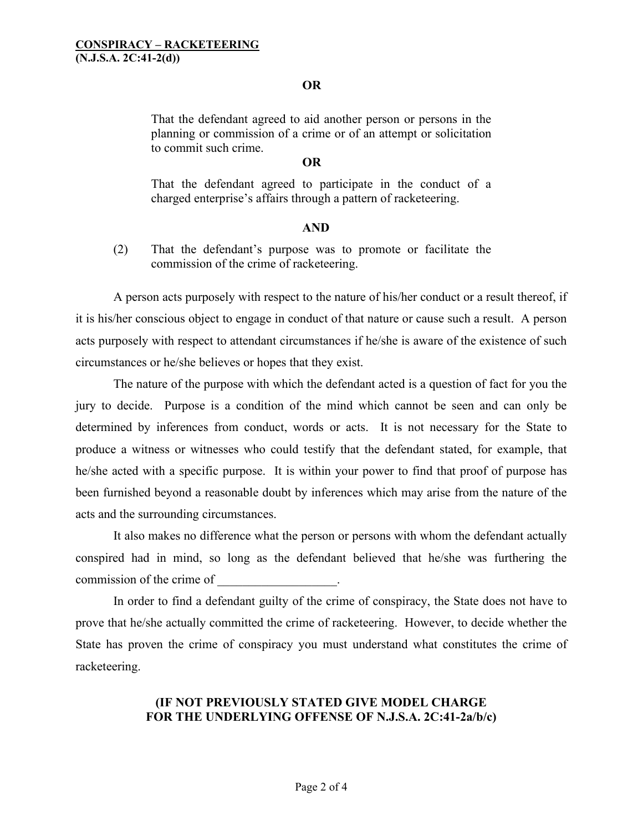## **OR**

That the defendant agreed to aid another person or persons in the planning or commission of a crime or of an attempt or solicitation to commit such crime.

## **OR**

That the defendant agreed to participate in the conduct of a charged enterprise's affairs through a pattern of racketeering.

#### **AND**

(2) That the defendant's purpose was to promote or facilitate the commission of the crime of racketeering.

A person acts purposely with respect to the nature of his/her conduct or a result thereof, if it is his/her conscious object to engage in conduct of that nature or cause such a result. A person acts purposely with respect to attendant circumstances if he/she is aware of the existence of such circumstances or he/she believes or hopes that they exist.

The nature of the purpose with which the defendant acted is a question of fact for you the jury to decide. Purpose is a condition of the mind which cannot be seen and can only be determined by inferences from conduct, words or acts. It is not necessary for the State to produce a witness or witnesses who could testify that the defendant stated, for example, that he/she acted with a specific purpose. It is within your power to find that proof of purpose has been furnished beyond a reasonable doubt by inferences which may arise from the nature of the acts and the surrounding circumstances.

It also makes no difference what the person or persons with whom the defendant actually conspired had in mind, so long as the defendant believed that he/she was furthering the commission of the crime of  $\blacksquare$ 

In order to find a defendant guilty of the crime of conspiracy, the State does not have to prove that he/she actually committed the crime of racketeering. However, to decide whether the State has proven the crime of conspiracy you must understand what constitutes the crime of racketeering.

## **(IF NOT PREVIOUSLY STATED GIVE MODEL CHARGE FOR THE UNDERLYING OFFENSE OF N.J.S.A. 2C:41-2a/b/c)**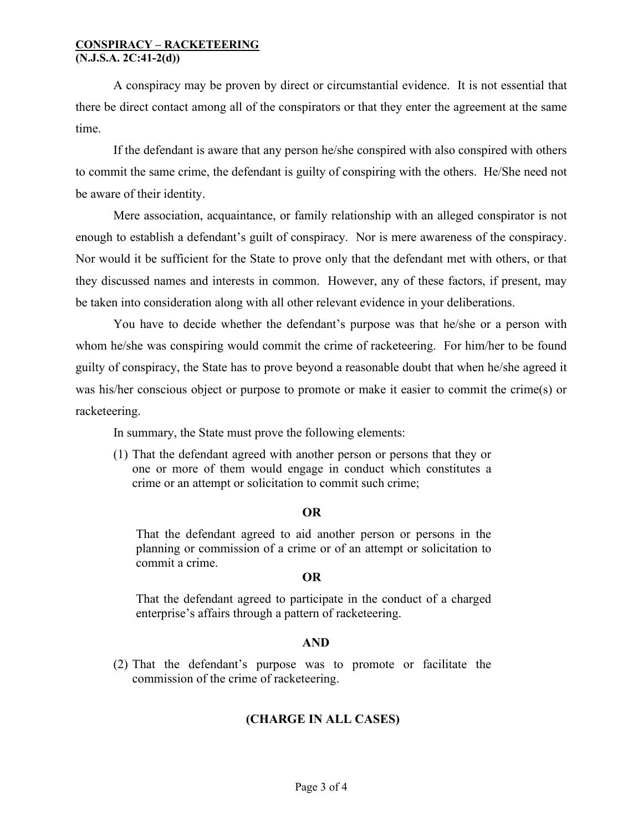#### **CONSPIRACY – RACKETEERING (N.J.S.A. 2C:41-2(d))**

A conspiracy may be proven by direct or circumstantial evidence. It is not essential that there be direct contact among all of the conspirators or that they enter the agreement at the same time.

If the defendant is aware that any person he/she conspired with also conspired with others to commit the same crime, the defendant is guilty of conspiring with the others. He/She need not be aware of their identity.

Mere association, acquaintance, or family relationship with an alleged conspirator is not enough to establish a defendant's guilt of conspiracy. Nor is mere awareness of the conspiracy. Nor would it be sufficient for the State to prove only that the defendant met with others, or that they discussed names and interests in common. However, any of these factors, if present, may be taken into consideration along with all other relevant evidence in your deliberations.

You have to decide whether the defendant's purpose was that he/she or a person with whom he/she was conspiring would commit the crime of racketeering. For him/her to be found guilty of conspiracy, the State has to prove beyond a reasonable doubt that when he/she agreed it was his/her conscious object or purpose to promote or make it easier to commit the crime(s) or racketeering.

In summary, the State must prove the following elements:

(1) That the defendant agreed with another person or persons that they or one or more of them would engage in conduct which constitutes a crime or an attempt or solicitation to commit such crime;

## **OR**

That the defendant agreed to aid another person or persons in the planning or commission of a crime or of an attempt or solicitation to commit a crime.

## **OR**

That the defendant agreed to participate in the conduct of a charged enterprise's affairs through a pattern of racketeering.

## **AND**

(2) That the defendant's purpose was to promote or facilitate the commission of the crime of racketeering.

# **(CHARGE IN ALL CASES)**